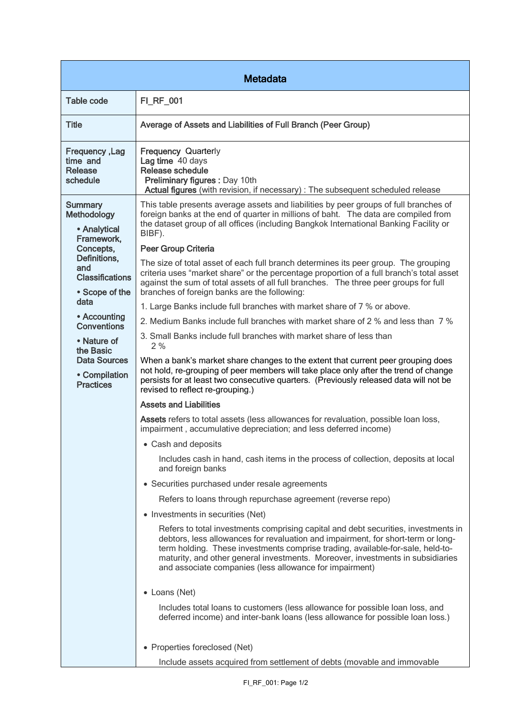| <b>Metadata</b>                                                                                                                                                                                                                                                                          |                                                                                                                                                                                                                                                                                                                                                                                                       |  |
|------------------------------------------------------------------------------------------------------------------------------------------------------------------------------------------------------------------------------------------------------------------------------------------|-------------------------------------------------------------------------------------------------------------------------------------------------------------------------------------------------------------------------------------------------------------------------------------------------------------------------------------------------------------------------------------------------------|--|
| <b>Table code</b>                                                                                                                                                                                                                                                                        | FI_RF_001                                                                                                                                                                                                                                                                                                                                                                                             |  |
| <b>Title</b>                                                                                                                                                                                                                                                                             | Average of Assets and Liabilities of Full Branch (Peer Group)                                                                                                                                                                                                                                                                                                                                         |  |
| <b>Frequency, Lag</b><br>time and<br>Release<br>schedule                                                                                                                                                                                                                                 | <b>Frequency Quarterly</b><br>Lag time 40 days<br>Release schedule<br><b>Preliminary figures: Day 10th</b><br>Actual figures (with revision, if necessary) : The subsequent scheduled release                                                                                                                                                                                                         |  |
| <b>Summary</b><br><b>Methodology</b><br>• Analytical<br>Framework,<br>Concepts,<br>Definitions,<br>and<br><b>Classifications</b><br>• Scope of the<br>data<br>• Accounting<br><b>Conventions</b><br>• Nature of<br>the Basic<br><b>Data Sources</b><br>• Compilation<br><b>Practices</b> | This table presents average assets and liabilities by peer groups of full branches of<br>foreign banks at the end of quarter in millions of baht. The data are compiled from<br>the dataset group of all offices (including Bangkok International Banking Facility or<br>BIBF).<br><b>Peer Group Criteria</b><br>The size of total asset of each full branch determines its peer group. The grouping  |  |
|                                                                                                                                                                                                                                                                                          | criteria uses "market share" or the percentage proportion of a full branch's total asset<br>against the sum of total assets of all full branches. The three peer groups for full<br>branches of foreign banks are the following:                                                                                                                                                                      |  |
|                                                                                                                                                                                                                                                                                          | 1. Large Banks include full branches with market share of 7 % or above.                                                                                                                                                                                                                                                                                                                               |  |
|                                                                                                                                                                                                                                                                                          | 2. Medium Banks include full branches with market share of 2 % and less than 7 %                                                                                                                                                                                                                                                                                                                      |  |
|                                                                                                                                                                                                                                                                                          | 3. Small Banks include full branches with market share of less than<br>2%                                                                                                                                                                                                                                                                                                                             |  |
|                                                                                                                                                                                                                                                                                          | When a bank's market share changes to the extent that current peer grouping does<br>not hold, re-grouping of peer members will take place only after the trend of change<br>persists for at least two consecutive quarters. (Previously released data will not be<br>revised to reflect re-grouping.)                                                                                                 |  |
|                                                                                                                                                                                                                                                                                          | <b>Assets and Liabilities</b>                                                                                                                                                                                                                                                                                                                                                                         |  |
|                                                                                                                                                                                                                                                                                          | Assets refers to total assets (less allowances for revaluation, possible loan loss,<br>impairment, accumulative depreciation; and less deferred income)                                                                                                                                                                                                                                               |  |
|                                                                                                                                                                                                                                                                                          | • Cash and deposits                                                                                                                                                                                                                                                                                                                                                                                   |  |
|                                                                                                                                                                                                                                                                                          | Includes cash in hand, cash items in the process of collection, deposits at local<br>and foreign banks                                                                                                                                                                                                                                                                                                |  |
|                                                                                                                                                                                                                                                                                          | • Securities purchased under resale agreements                                                                                                                                                                                                                                                                                                                                                        |  |
|                                                                                                                                                                                                                                                                                          | Refers to loans through repurchase agreement (reverse repo)                                                                                                                                                                                                                                                                                                                                           |  |
|                                                                                                                                                                                                                                                                                          | • Investments in securities (Net)                                                                                                                                                                                                                                                                                                                                                                     |  |
|                                                                                                                                                                                                                                                                                          | Refers to total investments comprising capital and debt securities, investments in<br>debtors, less allowances for revaluation and impairment, for short-term or long-<br>term holding. These investments comprise trading, available-for-sale, held-to-<br>maturity, and other general investments. Moreover, investments in subsidiaries<br>and associate companies (less allowance for impairment) |  |
|                                                                                                                                                                                                                                                                                          | • Loans (Net)                                                                                                                                                                                                                                                                                                                                                                                         |  |
|                                                                                                                                                                                                                                                                                          | Includes total loans to customers (less allowance for possible loan loss, and<br>deferred income) and inter-bank loans (less allowance for possible loan loss.)                                                                                                                                                                                                                                       |  |
|                                                                                                                                                                                                                                                                                          | • Properties foreclosed (Net)                                                                                                                                                                                                                                                                                                                                                                         |  |
|                                                                                                                                                                                                                                                                                          | Include assets acquired from settlement of debts (movable and immovable                                                                                                                                                                                                                                                                                                                               |  |